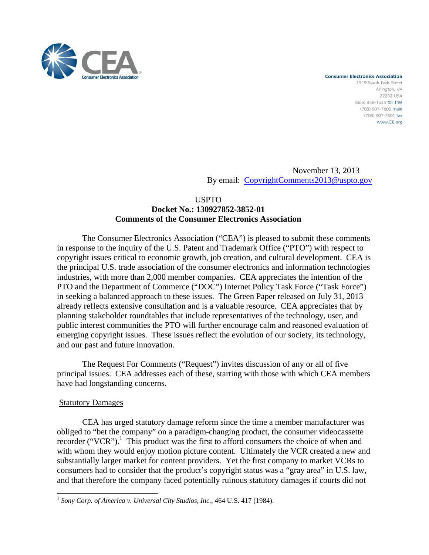

**Consumer Electronics Association** 1919 South Eads Street Arlington, VA 222021154 (866) 858-1555 toll free (703) 907-7600 main (703) 907-7601 fax www.CE.org

November 13, 2013 By email: CopyrightComments2013@uspto.gov

### USPTO

# **Docket No.: 130927852-3852-01 Comments of the Consumer Electronics Association**

The Consumer Electronics Association ("CEA") is pleased to submit these comments in response to the inquiry of the U.S. Patent and Trademark Office ("PTO") with respect to copyright issues critical to economic growth, job creation, and cultural development. CEA is the principal U.S. trade association of the consumer electronics and information technologies industries, with more than 2,000 member companies. CEA appreciates the intention of the PTO and the Department of Commerce ("DOC") Internet Policy Task Force ("Task Force") in seeking a balanced approach to these issues. The Green Paper released on July 31, 2013 already reflects extensive consultation and is a valuable resource. CEA appreciates that by planning stakeholder roundtables that include representatives of the technology, user, and public interest communities the PTO will further encourage calm and reasoned evaluation of emerging copyright issues. These issues reflect the evolution of our society, its technology, and our past and future innovation.

The Request For Comments ("Request") invites discussion of any or all of five principal issues. CEA addresses each of these, starting with those with which CEA members have had longstanding concerns.

## **Statutory Damages**

-

 CEA has urged statutory damage reform since the time a member manufacturer was obliged to "bet the company" on a paradigm-changing product, the consumer videocassette recorder ("VCR").<sup>1</sup> This product was the first to afford consumers the choice of when and with whom they would enjoy motion picture content. Ultimately the VCR created a new and substantially larger market for content providers. Yet the first company to market VCRs to consumers had to consider that the product's copyright status was a "gray area" in U.S. law, and that therefore the company faced potentially ruinous statutory damages if courts did not

<sup>1</sup> *Sony Corp. of America v. Universal City Studios, Inc.*, 464 U.S. 417 (1984).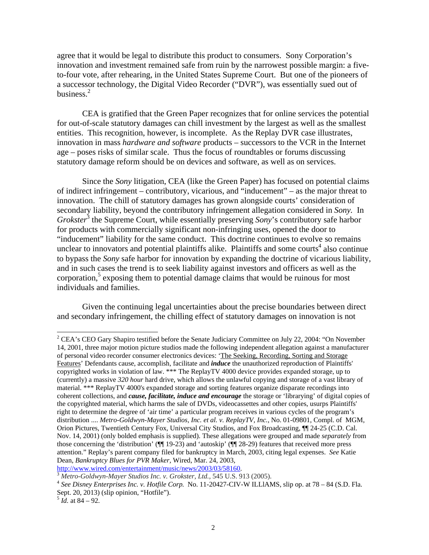agree that it would be legal to distribute this product to consumers. Sony Corporation's innovation and investment remained safe from ruin by the narrowest possible margin: a fiveto-four vote, after rehearing, in the United States Supreme Court. But one of the pioneers of a successor technology, the Digital Video Recorder ("DVR"), was essentially sued out of business.<sup>2</sup>

CEA is gratified that the Green Paper recognizes that for online services the potential for out-of-scale statutory damages can chill investment by the largest as well as the smallest entities. This recognition, however, is incomplete. As the Replay DVR case illustrates, innovation in mass *hardware and software* products – successors to the VCR in the Internet age – poses risks of similar scale. Thus the focus of roundtables or forums discussing statutory damage reform should be on devices and software, as well as on services.

Since the *Sony* litigation, CEA (like the Green Paper) has focused on potential claims of indirect infringement – contributory, vicarious, and "inducement" – as the major threat to innovation. The chill of statutory damages has grown alongside courts' consideration of secondary liability, beyond the contributory infringement allegation considered in *Sony.* In Grokster<sup>3</sup> the Supreme Court, while essentially preserving *Sony*'s contributory safe harbor for products with commercially significant non-infringing uses, opened the door to "inducement" liability for the same conduct. This doctrine continues to evolve so remains unclear to innovators and potential plaintiffs alike. Plaintiffs and some courts<sup>4</sup> also continue to bypass the *Sony* safe harbor for innovation by expanding the doctrine of vicarious liability, and in such cases the trend is to seek liability against investors and officers as well as the corporation, $5$  exposing them to potential damage claims that would be ruinous for most individuals and families.

Given the continuing legal uncertainties about the precise boundaries between direct and secondary infringement, the chilling effect of statutory damages on innovation is not

-

 $2^2$  CEA's CEO Gary Shapiro testified before the Senate Judiciary Committee on July 22, 2004: "On November 14, 2001, three major motion picture studios made the following independent allegation against a manufacturer of personal video recorder consumer electronics devices: 'The Seeking, Recording, Sorting and Storage Features' Defendants cause, accomplish, facilitate and *induce* the unauthorized reproduction of Plaintiffs' copyrighted works in violation of law. \*\*\* The ReplayTV 4000 device provides expanded storage, up to (currently) a massive *320 hour* hard drive, which allows the unlawful copying and storage of a vast library of material. \*\*\* ReplayTV 4000's expanded storage and sorting features organize disparate recordings into coherent collections, and *cause, facilitate, induce and encourage* the storage or 'librarying' of digital copies of the copyrighted material, which harms the sale of DVDs, videocassettes and other copies, usurps Plaintiffs' right to determine the degree of 'air time' a particular program receives in various cycles of the program's distribution .... *Metro-Goldwyn-Mayer Studios, Inc. et al. v. ReplayTV, Inc.*, No. 01-09801, Compl. of MGM, Orion Pictures, Twentieth Century Fox, Universal City Studios, and Fox Broadcasting, ¶¶ 24-25 (C.D. Cal. Nov. 14, 2001) (only bolded emphasis is supplied). These allegations were grouped and made *separately* from those concerning the 'distribution' (¶¶ 19-23) and 'autoskip' (¶¶ 28-29) features that received more press attention." Replay's parent company filed for bankruptcy in March, 2003, citing legal expenses. *See* Katie Dean, *Bankruptcy Blues for PVR Maker,* Wired, Mar. 24, 2003,

http://www.wired.com/entertainment/music/news/2003/03/58160.<br><sup>3</sup> Metro-Goldwyn-Mayer Studios Inc. v. Grokster, Ltd., 545 U.S. 913 (2005).<br><sup>4</sup> See Disney Enterprises Inc. v. Hotfile Corp. No. 11-20427-CIV-W ILLIAMS, slip op Sept. 20, 2013) (slip opinion, "Hotfile").

 $\frac{5}{1}$ *Id.* at 84 – 92.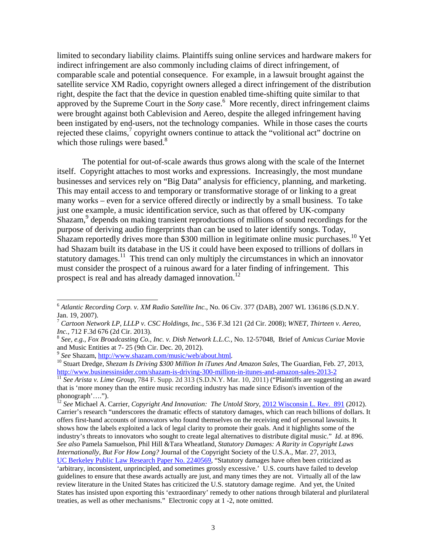limited to secondary liability claims. Plaintiffs suing online services and hardware makers for indirect infringement are also commonly including claims of direct infringement, of comparable scale and potential consequence. For example, in a lawsuit brought against the satellite service XM Radio, copyright owners alleged a direct infringement of the distribution right, despite the fact that the device in question enabled time-shifting quite similar to that approved by the Supreme Court in the *Sony* case.<sup>6</sup> More recently, direct infringement claims were brought against both Cablevision and Aereo, despite the alleged infringement having been instigated by end-users, not the technology companies. While in those cases the courts rejected these claims,<sup>7</sup> copyright owners continue to attack the "volitional act" doctrine on which those rulings were based. $8$ 

The potential for out-of-scale awards thus grows along with the scale of the Internet itself. Copyright attaches to most works and expressions. Increasingly, the most mundane businesses and services rely on "Big Data" analysis for efficiency, planning, and marketing. This may entail access to and temporary or transformative storage of or linking to a great many works – even for a service offered directly or indirectly by a small business. To take just one example, a music identification service, such as that offered by UK-company Shazam,<sup>9</sup> depends on making transient reproductions of millions of sound recordings for the purpose of deriving audio fingerprints than can be used to later identify songs. Today, Shazam reportedly drives more than \$300 million in legitimate online music purchases.<sup>10</sup> Yet had Shazam built its database in the US it could have been exposed to trillions of dollars in statutory damages.<sup>11</sup> This trend can only multiply the circumstances in which an innovator must consider the prospect of a ruinous award for a later finding of infringement. This prospect is real and has already damaged innovation.<sup>12</sup>

1

<sup>6</sup> *Atlantic Recording Corp. v. XM Radio Satellite Inc.*, No. 06 Civ. 377 (DAB), 2007 WL 136186 (S.D.N.Y. Jan. 19, 2007).

<sup>7</sup> *Cartoon Network LP, LLLP v. CSC Holdings, Inc.*, 536 F.3d 121 (2d Cir. 2008); *WNET, Thirteen v. Aereo, Inc.,* 712 F.3d 676 (2d Cir. 2013). 8 *See, e.g., Fox Broadcasting Co., Inc. v. Dish Network L.L.C.,* No. 12-57048, Brief of A*micus Curiae* Movie

and Music Entities at 7- 25 (9th Cir. Dec. 20, 2012).<br><sup>9</sup> See Shazam, http://www.shazam.com/music/web/about.html.

<sup>&</sup>lt;sup>10</sup> Stuart Dredge, *Shezam Is Driving \$300 Million In iTunes And Amazon Sales*, The Guardian, Feb. 27, 2013, http://www.businessinsider.com/shazam-is-driving-300-million-in-itunes-and-amazon-sales-2013-2

<sup>&</sup>lt;sup>11</sup> See Arista v. Lime Group, 784 F. Supp. 2d 313 (S.D.N.Y. Mar. 10, 2011) ("Plaintiffs are suggesting an award that is 'more money than the entire music recording industry has made since Edison's invention of the phonograph'….").

<sup>12</sup> *See* Michael A. Carrier, *Copyright And Innovation: The Untold Story*, 2012 Wisconsin L. Rev. 891 (2012). Carrier's research "underscores the dramatic effects of statutory damages, which can reach billions of dollars. It offers first-hand accounts of innovators who found themselves on the receiving end of personal lawsuits. It shows how the labels exploited a lack of legal clarity to promote their goals. And it highlights some of the industry's threats to innovators who sought to create legal alternatives to distribute digital music." *Id*. at 896. *See also* Pamela Samuelson, Phil Hill &Tara Wheatland, *Statutory Damages: A Rarity in Copyright Laws Internationally, But For How Long?* Journal of the Copyright Society of the U.S.A., Mar. 27, 2013, UC Berkeley Public Law Research Paper No. 2240569, "Statutory damages have often been criticized as

<sup>&#</sup>x27;arbitrary, inconsistent, unprincipled, and sometimes grossly excessive.' U.S. courts have failed to develop guidelines to ensure that these awards actually are just, and many times they are not. Virtually all of the law review literature in the United States has criticized the U.S. statutory damage regime. And yet, the United States has insisted upon exporting this 'extraordinary' remedy to other nations through bilateral and plurilateral treaties, as well as other mechanisms." Electronic copy at 1 -2, note omitted.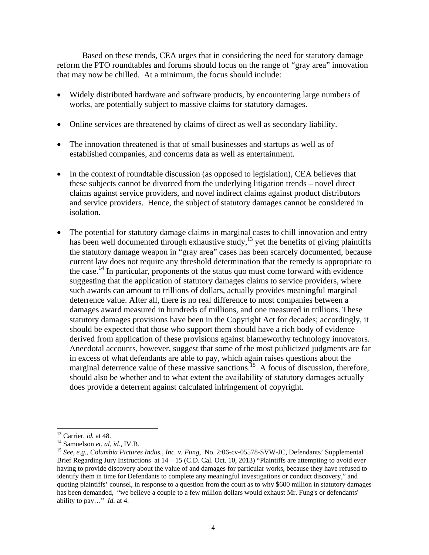Based on these trends, CEA urges that in considering the need for statutory damage reform the PTO roundtables and forums should focus on the range of "gray area" innovation that may now be chilled. At a minimum, the focus should include:

- Widely distributed hardware and software products, by encountering large numbers of works, are potentially subject to massive claims for statutory damages.
- Online services are threatened by claims of direct as well as secondary liability.
- The innovation threatened is that of small businesses and startups as well as of established companies, and concerns data as well as entertainment.
- In the context of roundtable discussion (as opposed to legislation), CEA believes that these subjects cannot be divorced from the underlying litigation trends – novel direct claims against service providers, and novel indirect claims against product distributors and service providers. Hence, the subject of statutory damages cannot be considered in isolation.
- The potential for statutory damage claims in marginal cases to chill innovation and entry has been well documented through exhaustive study,<sup>13</sup> yet the benefits of giving plaintiffs the statutory damage weapon in "gray area" cases has been scarcely documented, because current law does not require any threshold determination that the remedy is appropriate to the case.<sup>14</sup> In particular, proponents of the status quo must come forward with evidence suggesting that the application of statutory damages claims to service providers, where such awards can amount to trillions of dollars, actually provides meaningful marginal deterrence value. After all, there is no real difference to most companies between a damages award measured in hundreds of millions, and one measured in trillions. These statutory damages provisions have been in the Copyright Act for decades; accordingly, it should be expected that those who support them should have a rich body of evidence derived from application of these provisions against blameworthy technology innovators. Anecdotal accounts, however, suggest that some of the most publicized judgments are far in excess of what defendants are able to pay, which again raises questions about the marginal deterrence value of these massive sanctions.<sup>15</sup> A focus of discussion, therefore, should also be whether and to what extent the availability of statutory damages actually does provide a deterrent against calculated infringement of copyright.

 $13$  Carrier, *id.* at 48.

<sup>&</sup>lt;sup>14</sup> Samuelson *et. al, id., IV.B.*<br><sup>15</sup> *See, e.g., Columbia Pictures Indus., Inc. v. Fung, No.* 2:06-cv-05578-SVW-JC, Defendants' Supplemental Brief Regarding Jury Instructions at 14 – 15 (C.D. Cal. Oct. 10, 2013) "Plaintiffs are attempting to avoid ever having to provide discovery about the value of and damages for particular works, because they have refused to identify them in time for Defendants to complete any meaningful investigations or conduct discovery," and quoting plaintiffs' counsel, in response to a question from the court as to why \$600 million in statutory damages has been demanded, "we believe a couple to a few million dollars would exhaust Mr. Fung's or defendants' ability to pay…" *Id.* at 4.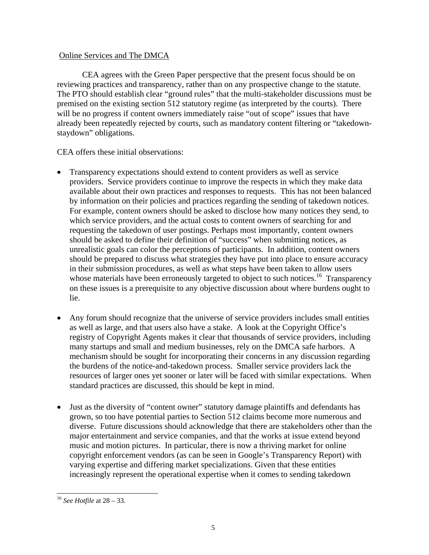# Online Services and The DMCA

 CEA agrees with the Green Paper perspective that the present focus should be on reviewing practices and transparency, rather than on any prospective change to the statute. The PTO should establish clear "ground rules" that the multi-stakeholder discussions must be premised on the existing section 512 statutory regime (as interpreted by the courts). There will be no progress if content owners immediately raise "out of scope" issues that have already been repeatedly rejected by courts, such as mandatory content filtering or "takedownstaydown" obligations.

CEA offers these initial observations:

- Transparency expectations should extend to content providers as well as service providers. Service providers continue to improve the respects in which they make data available about their own practices and responses to requests. This has not been balanced by information on their policies and practices regarding the sending of takedown notices. For example, content owners should be asked to disclose how many notices they send, to which service providers, and the actual costs to content owners of searching for and requesting the takedown of user postings. Perhaps most importantly, content owners should be asked to define their definition of "success" when submitting notices, as unrealistic goals can color the perceptions of participants. In addition, content owners should be prepared to discuss what strategies they have put into place to ensure accuracy in their submission procedures, as well as what steps have been taken to allow users whose materials have been erroneously targeted to object to such notices.<sup>16</sup> Transparency on these issues is a prerequisite to any objective discussion about where burdens ought to lie.
- Any forum should recognize that the universe of service providers includes small entities as well as large, and that users also have a stake. A look at the Copyright Office's registry of Copyright Agents makes it clear that thousands of service providers, including many startups and small and medium businesses, rely on the DMCA safe harbors. A mechanism should be sought for incorporating their concerns in any discussion regarding the burdens of the notice-and-takedown process. Smaller service providers lack the resources of larger ones yet sooner or later will be faced with similar expectations. When standard practices are discussed, this should be kept in mind.
- Just as the diversity of "content owner" statutory damage plaintiffs and defendants has grown, so too have potential parties to Section 512 claims become more numerous and diverse. Future discussions should acknowledge that there are stakeholders other than the major entertainment and service companies, and that the works at issue extend beyond music and motion pictures. In particular, there is now a thriving market for online copyright enforcement vendors (as can be seen in Google's Transparency Report) with varying expertise and differing market specializations. Given that these entities increasingly represent the operational expertise when it comes to sending takedown

<sup>-</sup><sup>16</sup> *See Hotfile* at 28 – 33.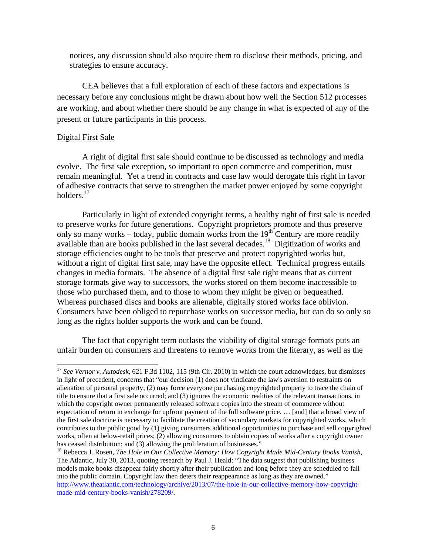notices, any discussion should also require them to disclose their methods, pricing, and strategies to ensure accuracy.

CEA believes that a full exploration of each of these factors and expectations is necessary before any conclusions might be drawn about how well the Section 512 processes are working, and about whether there should be any change in what is expected of any of the present or future participants in this process.

### Digital First Sale

-

A right of digital first sale should continue to be discussed as technology and media evolve. The first sale exception, so important to open commerce and competition, must remain meaningful. Yet a trend in contracts and case law would derogate this right in favor of adhesive contracts that serve to strengthen the market power enjoyed by some copyright holders.<sup>17</sup>

Particularly in light of extended copyright terms, a healthy right of first sale is needed to preserve works for future generations. Copyright proprietors promote and thus preserve only so many works – today, public domain works from the  $19<sup>th</sup>$  Century are more readily available than are books published in the last several decades.18 Digitization of works and storage efficiencies ought to be tools that preserve and protect copyrighted works but, without a right of digital first sale, may have the opposite effect. Technical progress entails changes in media formats. The absence of a digital first sale right means that as current storage formats give way to successors, the works stored on them become inaccessible to those who purchased them, and to those to whom they might be given or bequeathed. Whereas purchased discs and books are alienable, digitally stored works face oblivion. Consumers have been obliged to repurchase works on successor media, but can do so only so long as the rights holder supports the work and can be found.

The fact that copyright term outlasts the viability of digital storage formats puts an unfair burden on consumers and threatens to remove works from the literary, as well as the

<sup>&</sup>lt;sup>17</sup> See Vernor v. Autodesk, 621 F.3d 1102, 115 (9th Cir. 2010) in which the court acknowledges, but dismisses in light of precedent, concerns that "our decision (1) does not vindicate the law's aversion to restraints on alienation of personal property; (2) may force everyone purchasing copyrighted property to trace the chain of title to ensure that a first sale occurred; and (3) ignores the economic realities of the relevant transactions, in which the copyright owner permanently released software copies into the stream of commerce without expectation of return in exchange for upfront payment of the full software price. … [and] that a broad view of the first sale doctrine is necessary to facilitate the creation of secondary markets for copyrighted works, which contributes to the public good by (1) giving consumers additional opportunities to purchase and sell copyrighted works, often at below-retail prices; (2) allowing consumers to obtain copies of works after a copyright owner has ceased distribution; and (3) allowing the proliferation of businesses."<br><sup>18</sup> Rebecca J. Rosen, *The Hole in Our Collective Memory: How Copyright Made Mid-Century Books Vanish*,

The Atlantic, July 30, 2013, quoting research by Paul J. Heald: "The data suggest that publishing business models make books disappear fairly shortly after their publication and long before they are scheduled to fall into the public domain. Copyright law then deters their reappearance as long as they are owned." http://www.theatlantic.com/technology/archive/2013/07/the-hole-in-our-collective-memory-how-copyrightmade-mid-century-books-vanish/278209/.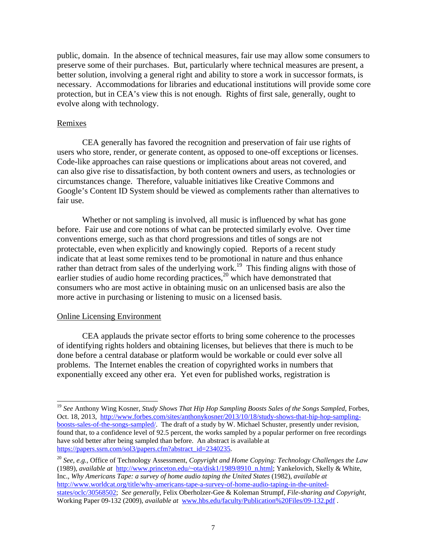public, domain. In the absence of technical measures, fair use may allow some consumers to preserve some of their purchases. But, particularly where technical measures are present, a better solution, involving a general right and ability to store a work in successor formats, is necessary. Accommodations for libraries and educational institutions will provide some core protection, but in CEA's view this is not enough. Rights of first sale, generally, ought to evolve along with technology.

### Remixes

CEA generally has favored the recognition and preservation of fair use rights of users who store, render, or generate content, as opposed to one-off exceptions or licenses. Code-like approaches can raise questions or implications about areas not covered, and can also give rise to dissatisfaction, by both content owners and users, as technologies or circumstances change. Therefore, valuable initiatives like Creative Commons and Google's Content ID System should be viewed as complements rather than alternatives to fair use.

Whether or not sampling is involved, all music is influenced by what has gone before. Fair use and core notions of what can be protected similarly evolve. Over time conventions emerge, such as that chord progressions and titles of songs are not protectable, even when explicitly and knowingly copied. Reports of a recent study indicate that at least some remixes tend to be promotional in nature and thus enhance rather than detract from sales of the underlying work.<sup>19</sup> This finding aligns with those of earlier studies of audio home recording practices, $20$  which have demonstrated that consumers who are most active in obtaining music on an unlicensed basis are also the more active in purchasing or listening to music on a licensed basis.

#### Online Licensing Environment

-

CEA applauds the private sector efforts to bring some coherence to the processes of identifying rights holders and obtaining licenses, but believes that there is much to be done before a central database or platform would be workable or could ever solve all problems. The Internet enables the creation of copyrighted works in numbers that exponentially exceed any other era. Yet even for published works, registration is

<sup>19</sup> *See* Anthony Wing Kosner, *Study Shows That Hip Hop Sampling Boosts Sales of the Songs Sampled*, Forbes, Oct. 18, 2013, http://www.forbes.com/sites/anthonykosner/2013/10/18/study-shows-that-hip-hop-samplingboosts-sales-of-the-songs-sampled/. The draft of a study by W. Michael Schuster, presently under revision, found that, to a confidence level of 92.5 percent, the works sampled by a popular performer on free recordings have sold better after being sampled than before. An abstract is available at https://papers.ssrn.com/sol3/papers.cfm?abstract\_id=2340235.

<sup>20</sup> *See, e.g.,* Office of Technology Assessment, *Copyright and Home Copying: Technology Challenges the Law* (1989), *available at* http://www.princeton.edu/~ota/disk1/1989/8910\_n.html; Yankelovich, Skelly & White, Inc., *Why Americans Tape: a survey of home audio taping the United States* (1982), *available at*  http://www.worldcat.org/title/why-americans-tape-a-survey-of-home-audio-taping-in-the-unitedstates/oclc/30568502; *See generally,* Felix Oberholzer-Gee & Koleman Strumpf, *File-sharing and Copyright*, Working Paper 09-132 (2009), *available at* www.hbs.edu/faculty/Publication%20Files/09-132.pdf .